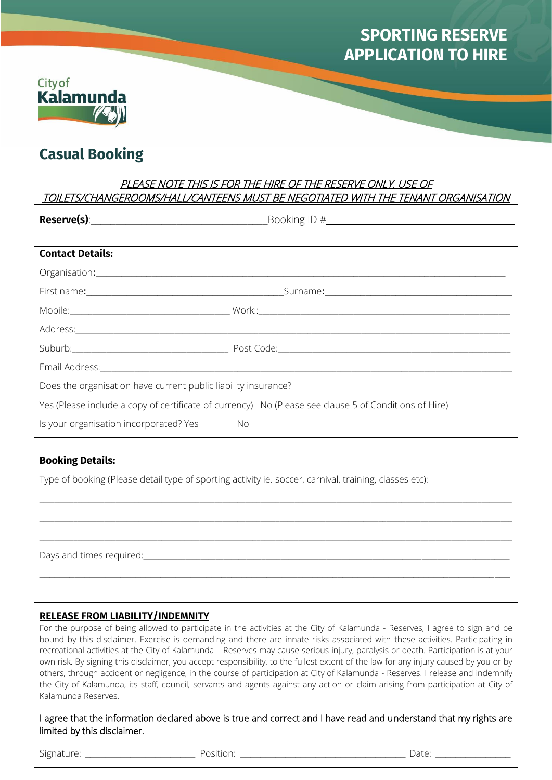# **SPORTING RESERVE APPLICATION TO HIRE**



# **Casual Booking**

# PLEASE NOTE THIS IS FOR THE HIRE OF THE RESERVE ONLY. USE OF TOILETS/CHANGEROOMS/HALL/CANTEENS MUST BE NEGOTIATED WITH THE TENANT ORGANISATION

|                                                                                                       | <b>Reserve(s)</b> : 2000 Reserve 2000 Reserve Containing Booking ID #                                                                                                                                                         |  |
|-------------------------------------------------------------------------------------------------------|-------------------------------------------------------------------------------------------------------------------------------------------------------------------------------------------------------------------------------|--|
|                                                                                                       |                                                                                                                                                                                                                               |  |
| <b>Contact Details:</b>                                                                               |                                                                                                                                                                                                                               |  |
|                                                                                                       | Organisation: contract to the contract of the contract of the contract of the contract of the contract of the contract of the contract of the contract of the contract of the contract of the contract of the contract of the |  |
|                                                                                                       |                                                                                                                                                                                                                               |  |
|                                                                                                       |                                                                                                                                                                                                                               |  |
|                                                                                                       |                                                                                                                                                                                                                               |  |
|                                                                                                       |                                                                                                                                                                                                                               |  |
|                                                                                                       |                                                                                                                                                                                                                               |  |
| Does the organisation have current public liability insurance?                                        |                                                                                                                                                                                                                               |  |
| Yes (Please include a copy of certificate of currency) No (Please see clause 5 of Conditions of Hire) |                                                                                                                                                                                                                               |  |
| Is your organisation incorporated? Yes No                                                             |                                                                                                                                                                                                                               |  |

# **Booking Details:**

Type of booking (Please detail type of sporting activity ie. soccer, carnival, training, classes etc):

Days and times required:

#### **RELEASE FROM LIABILITY/INDEMNITY**

For the purpose of being allowed to participate in the activities at the City of Kalamunda - Reserves, I agree to sign and be bound by this disclaimer. Exercise is demanding and there are innate risks associated with these activities. Participating in recreational activities at the City of Kalamunda – Reserves may cause serious injury, paralysis or death. Participation is at your own risk. By signing this disclaimer, you accept responsibility, to the fullest extent of the law for any injury caused by you or by others, through accident or negligence, in the course of participation at City of Kalamunda - Reserves. I release and indemnify the City of Kalamunda, its staff, council, servants and agents against any action or claim arising from participation at City of Kalamunda Reserves.

 $\_$  ,  $\_$  ,  $\_$  ,  $\_$  ,  $\_$  ,  $\_$  ,  $\_$  ,  $\_$  ,  $\_$  ,  $\_$  ,  $\_$  ,  $\_$  ,  $\_$  ,  $\_$  ,  $\_$  ,  $\_$  ,  $\_$  ,  $\_$  ,  $\_$  ,  $\_$  ,  $\_$  ,  $\_$  ,  $\_$  ,  $\_$  ,  $\_$  ,  $\_$  ,  $\_$  ,  $\_$  ,  $\_$  ,  $\_$  ,  $\_$  ,  $\_$  ,  $\_$  ,  $\_$  ,  $\_$  ,  $\_$  ,  $\_$  ,

 $\_$  ,  $\_$  ,  $\_$  ,  $\_$  ,  $\_$  ,  $\_$  ,  $\_$  ,  $\_$  ,  $\_$  ,  $\_$  ,  $\_$  ,  $\_$  ,  $\_$  ,  $\_$  ,  $\_$  ,  $\_$  ,  $\_$  ,  $\_$  ,  $\_$  ,  $\_$  ,  $\_$  ,  $\_$  ,  $\_$  ,  $\_$  ,  $\_$  ,  $\_$  ,  $\_$  ,  $\_$  ,  $\_$  ,  $\_$  ,  $\_$  ,  $\_$  ,  $\_$  ,  $\_$  ,  $\_$  ,  $\_$  ,  $\_$  ,

 $\_$  ,  $\_$  ,  $\_$  ,  $\_$  ,  $\_$  ,  $\_$  ,  $\_$  ,  $\_$  ,  $\_$  ,  $\_$  ,  $\_$  ,  $\_$  ,  $\_$  ,  $\_$  ,  $\_$  ,  $\_$  ,  $\_$  ,  $\_$  ,  $\_$  ,  $\_$  ,  $\_$  ,  $\_$  ,  $\_$  ,  $\_$  ,  $\_$  ,  $\_$  ,  $\_$  ,  $\_$  ,  $\_$  ,  $\_$  ,  $\_$  ,  $\_$  ,  $\_$  ,  $\_$  ,  $\_$  ,  $\_$  ,  $\_$  ,

 $\_$  , and the set of the set of the set of the set of the set of the set of the set of the set of the set of the set of the set of the set of the set of the set of the set of the set of the set of the set of the set of th

I agree that the information declared above is true and correct and I have read and understand that my rights are limited by this disclaimer.

Signature: \_\_\_\_\_\_\_\_\_\_\_\_\_\_\_\_\_\_\_\_\_\_ Position: \_\_\_\_\_\_\_\_\_\_\_\_\_\_\_\_\_\_\_\_\_\_\_\_\_\_\_\_\_\_\_\_\_ Date: \_\_\_\_\_\_\_\_\_\_\_\_\_\_\_